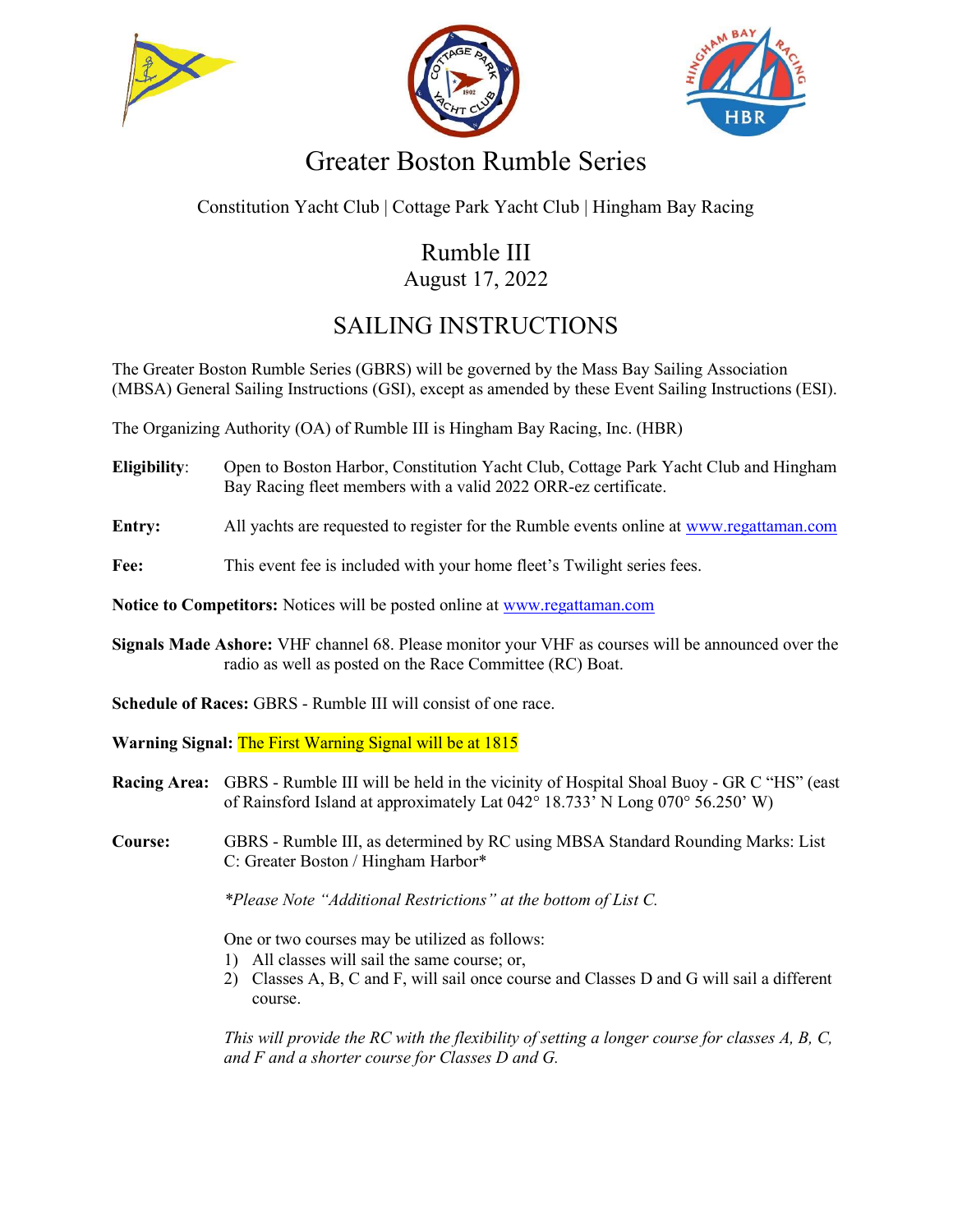





## Greater Boston Rumble Series

Constitution Yacht Club | Cottage Park Yacht Club | Hingham Bay Racing

## Rumble III August 17, 2022

## SAILING INSTRUCTIONS

The Greater Boston Rumble Series (GBRS) will be governed by the Mass Bay Sailing Association (MBSA) General Sailing Instructions (GSI), except as amended by these Event Sailing Instructions (ESI).

The Organizing Authority (OA) of Rumble III is Hingham Bay Racing, Inc. (HBR)

- Eligibility: Open to Boston Harbor, Constitution Yacht Club, Cottage Park Yacht Club and Hingham Bay Racing fleet members with a valid 2022 ORR-ez certificate.
- Entry: All yachts are requested to register for the Rumble events online at www.regattaman.com
- Fee: This event fee is included with your home fleet's Twilight series fees.

Notice to Competitors: Notices will be posted online at www.regattaman.com

Signals Made Ashore: VHF channel 68. Please monitor your VHF as courses will be announced over the radio as well as posted on the Race Committee (RC) Boat.

Schedule of Races: GBRS - Rumble III will consist of one race.

Warning Signal: The First Warning Signal will be at 1815

- Racing Area: GBRS Rumble III will be held in the vicinity of Hospital Shoal Buoy GR C "HS" (east of Rainsford Island at approximately Lat 042° 18.733' N Long 070° 56.250' W)
- Course: GBRS Rumble III, as determined by RC using MBSA Standard Rounding Marks: List C: Greater Boston / Hingham Harbor\*

\*Please Note "Additional Restrictions" at the bottom of List C.

One or two courses may be utilized as follows:

- 1) All classes will sail the same course; or,
- 2) Classes A, B, C and F, will sail once course and Classes D and G will sail a different course.

This will provide the RC with the flexibility of setting a longer course for classes A, B, C, and F and a shorter course for Classes D and G.